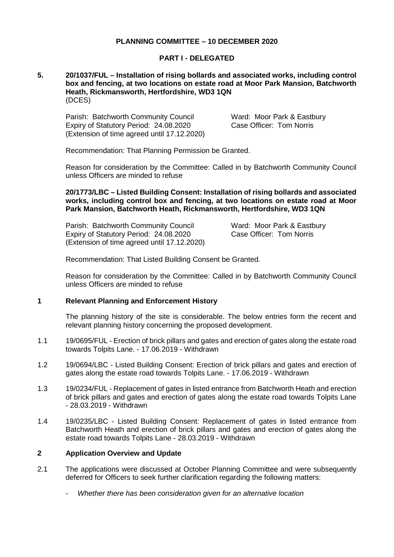## **PLANNING COMMITTEE – 10 DECEMBER 2020**

### **PART I - DELEGATED**

#### **5. 20/1037/FUL – Installation of rising bollards and associated works, including control box and fencing, at two locations on estate road at Moor Park Mansion, Batchworth Heath, Rickmansworth, Hertfordshire, WD3 1QN** (DCES)

Parish: Batchworth Community Council **Ward: Moor Park & Eastbury** Expiry of Statutory Period: 24.08.2020 (Extension of time agreed until 17.12.2020)

Case Officer: Tom Norris

Recommendation: That Planning Permission be Granted.

Reason for consideration by the Committee: Called in by Batchworth Community Council unless Officers are minded to refuse

### **20/1773/LBC – Listed Building Consent: Installation of rising bollards and associated works, including control box and fencing, at two locations on estate road at Moor Park Mansion, Batchworth Heath, Rickmansworth, Hertfordshire, WD3 1QN**

Parish: Batchworth Community Council Ward: Moor Park & Eastbury Expiry of Statutory Period: 24.08.2020 (Extension of time agreed until 17.12.2020)

Case Officer: Tom Norris

Recommendation: That Listed Building Consent be Granted.

Reason for consideration by the Committee: Called in by Batchworth Community Council unless Officers are minded to refuse

## **1 Relevant Planning and Enforcement History**

The planning history of the site is considerable. The below entries form the recent and relevant planning history concerning the proposed development.

- 1.1 19/0695/FUL Erection of brick pillars and gates and erection of gates along the estate road towards Tolpits Lane. - 17.06.2019 - Withdrawn
- 1.2 19/0694/LBC Listed Building Consent: Erection of brick pillars and gates and erection of gates along the estate road towards Tolpits Lane. - 17.06.2019 - Withdrawn
- 1.3 19/0234/FUL Replacement of gates in listed entrance from Batchworth Heath and erection of brick pillars and gates and erection of gates along the estate road towards Tolpits Lane - 28.03.2019 - Withdrawn
- 1.4 19/0235/LBC Listed Building Consent: Replacement of gates in listed entrance from Batchworth Heath and erection of brick pillars and gates and erection of gates along the estate road towards Tolpits Lane - 28.03.2019 - Withdrawn

## **2 Application Overview and Update**

- 2.1 The applications were discussed at October Planning Committee and were subsequently deferred for Officers to seek further clarification regarding the following matters:
	- *Whether there has been consideration given for an alternative location*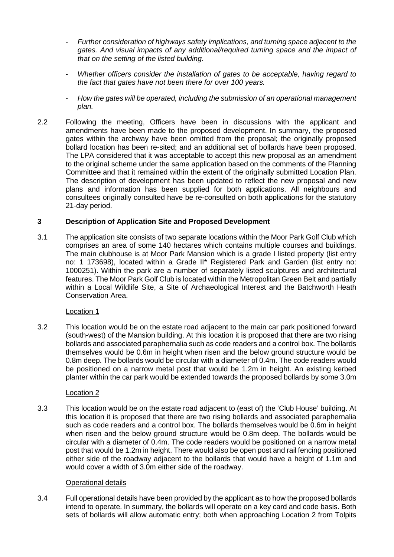- *Further consideration of highways safety implications, and turning space adjacent to the gates. And visual impacts of any additional/required turning space and the impact of that on the setting of the listed building.*
- *Whether officers consider the installation of gates to be acceptable, having regard to the fact that gates have not been there for over 100 years.*
- *How the gates will be operated, including the submission of an operational management plan.*
- 2.2 Following the meeting, Officers have been in discussions with the applicant and amendments have been made to the proposed development. In summary, the proposed gates within the archway have been omitted from the proposal; the originally proposed bollard location has been re-sited; and an additional set of bollards have been proposed. The LPA considered that it was acceptable to accept this new proposal as an amendment to the original scheme under the same application based on the comments of the Planning Committee and that it remained within the extent of the originally submitted Location Plan. The description of development has been updated to reflect the new proposal and new plans and information has been supplied for both applications. All neighbours and consultees originally consulted have be re-consulted on both applications for the statutory 21-day period.

# **3 Description of Application Site and Proposed Development**

3.1 The application site consists of two separate locations within the Moor Park Golf Club which comprises an area of some 140 hectares which contains multiple courses and buildings. The main clubhouse is at Moor Park Mansion which is a grade I listed property (list entry no: 1 173698), located within a Grade II\* Registered Park and Garden (list entry no: 1000251). Within the park are a number of separately listed sculptures and architectural features. The Moor Park Golf Club is located within the Metropolitan Green Belt and partially within a Local Wildlife Site, a Site of Archaeological Interest and the Batchworth Heath Conservation Area.

# Location 1

3.2 This location would be on the estate road adjacent to the main car park positioned forward (south-west) of the Mansion building. At this location it is proposed that there are two rising bollards and associated paraphernalia such as code readers and a control box. The bollards themselves would be 0.6m in height when risen and the below ground structure would be 0.8m deep. The bollards would be circular with a diameter of 0.4m. The code readers would be positioned on a narrow metal post that would be 1.2m in height. An existing kerbed planter within the car park would be extended towards the proposed bollards by some 3.0m

## Location 2

3.3 This location would be on the estate road adjacent to (east of) the 'Club House' building. At this location it is proposed that there are two rising bollards and associated paraphernalia such as code readers and a control box. The bollards themselves would be 0.6m in height when risen and the below ground structure would be 0.8m deep. The bollards would be circular with a diameter of 0.4m. The code readers would be positioned on a narrow metal post that would be 1.2m in height. There would also be open post and rail fencing positioned either side of the roadway adjacent to the bollards that would have a height of 1.1m and would cover a width of 3.0m either side of the roadway.

## Operational details

3.4 Full operational details have been provided by the applicant as to how the proposed bollards intend to operate. In summary, the bollards will operate on a key card and code basis. Both sets of bollards will allow automatic entry; both when approaching Location 2 from Tolpits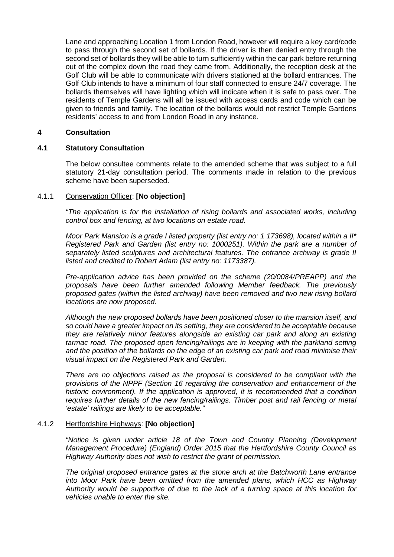Lane and approaching Location 1 from London Road, however will require a key card/code to pass through the second set of bollards. If the driver is then denied entry through the second set of bollards they will be able to turn sufficiently within the car park before returning out of the complex down the road they came from. Additionally, the reception desk at the Golf Club will be able to communicate with drivers stationed at the bollard entrances. The Golf Club intends to have a minimum of four staff connected to ensure 24/7 coverage. The bollards themselves will have lighting which will indicate when it is safe to pass over. The residents of Temple Gardens will all be issued with access cards and code which can be given to friends and family. The location of the bollards would not restrict Temple Gardens residents' access to and from London Road in any instance.

#### **4 Consultation**

## **4.1 Statutory Consultation**

The below consultee comments relate to the amended scheme that was subject to a full statutory 21-day consultation period. The comments made in relation to the previous scheme have been superseded.

#### 4.1.1 Conservation Officer: **[No objection]**

*"The application is for the installation of rising bollards and associated works, including control box and fencing, at two locations on estate road.*

*Moor Park Mansion is a grade I listed property (list entry no: 1 173698), located within a II\* Registered Park and Garden (list entry no: 1000251). Within the park are a number of separately listed sculptures and architectural features. The entrance archway is grade II listed and credited to Robert Adam (list entry no: 1173387).*

*Pre-application advice has been provided on the scheme (20/0084/PREAPP) and the proposals have been further amended following Member feedback. The previously proposed gates (within the listed archway) have been removed and two new rising bollard locations are now proposed.*

*Although the new proposed bollards have been positioned closer to the mansion itself, and so could have a greater impact on its setting, they are considered to be acceptable because they are relatively minor features alongside an existing car park and along an existing tarmac road. The proposed open fencing/railings are in keeping with the parkland setting and the position of the bollards on the edge of an existing car park and road minimise their visual impact on the Registered Park and Garden.*

*There are no objections raised as the proposal is considered to be compliant with the provisions of the NPPF (Section 16 regarding the conservation and enhancement of the historic environment). If the application is approved, it is recommended that a condition requires further details of the new fencing/railings. Timber post and rail fencing or metal 'estate' railings are likely to be acceptable."*

#### 4.1.2 Hertfordshire Highways: **[No objection]**

*"Notice is given under article 18 of the Town and Country Planning (Development Management Procedure) (England) Order 2015 that the Hertfordshire County Council as Highway Authority does not wish to restrict the grant of permission.*

*The original proposed entrance gates at the stone arch at the Batchworth Lane entrance into Moor Park have been omitted from the amended plans, which HCC as Highway Authority would be supportive of due to the lack of a turning space at this location for vehicles unable to enter the site.*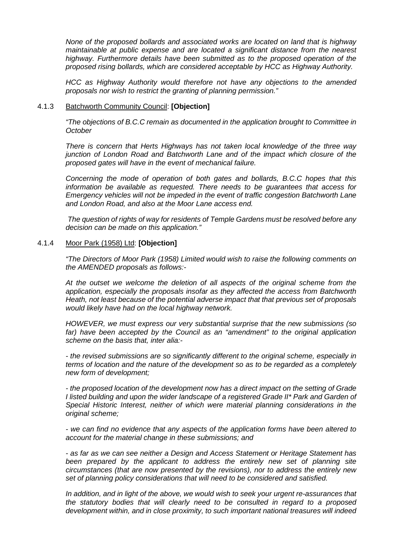*None of the proposed bollards and associated works are located on land that is highway maintainable at public expense and are located a significant distance from the nearest highway. Furthermore details have been submitted as to the proposed operation of the proposed rising bollards, which are considered acceptable by HCC as Highway Authority.*

*HCC as Highway Authority would therefore not have any objections to the amended proposals nor wish to restrict the granting of planning permission."*

#### 4.1.3 Batchworth Community Council: **[Objection]**

*"The objections of B.C.C remain as documented in the application brought to Committee in October*

*There is concern that Herts Highways has not taken local knowledge of the three way junction of London Road and Batchworth Lane and of the impact which closure of the proposed gates will have in the event of mechanical failure.*

*Concerning the mode of operation of both gates and bollards, B.C.C hopes that this information be available as requested. There needs to be guarantees that access for Emergency vehicles will not be impeded in the event of traffic congestion Batchworth Lane and London Road, and also at the Moor Lane access end.*

*The question of rights of way for residents of Temple Gardens must be resolved before any decision can be made on this application."*

#### 4.1.4 Moor Park (1958) Ltd: **[Objection]**

*"The Directors of Moor Park (1958) Limited would wish to raise the following comments on the AMENDED proposals as follows:-*

*At the outset we welcome the deletion of all aspects of the original scheme from the application, especially the proposals insofar as they affected the access from Batchworth Heath, not least because of the potential adverse impact that that previous set of proposals would likely have had on the local highway network.*

*HOWEVER, we must express our very substantial surprise that the new submissions (so*  far) have been accepted by the Council as an "amendment" to the original application *scheme on the basis that, inter alia:-*

*- the revised submissions are so significantly different to the original scheme, especially in terms of location and the nature of the development so as to be regarded as a completely new form of development;*

*- the proposed location of the development now has a direct impact on the setting of Grade I listed building and upon the wider landscape of a registered Grade II\* Park and Garden of Special Historic Interest, neither of which were material planning considerations in the original scheme;*

*- we can find no evidence that any aspects of the application forms have been altered to account for the material change in these submissions; and* 

*- as far as we can see neither a Design and Access Statement or Heritage Statement has been prepared by the applicant to address the entirely new set of planning site circumstances (that are now presented by the revisions), nor to address the entirely new set of planning policy considerations that will need to be considered and satisfied.*

*In addition, and in light of the above, we would wish to seek your urgent re-assurances that the statutory bodies that will clearly need to be consulted in regard to a proposed development within, and in close proximity, to such important national treasures will indeed*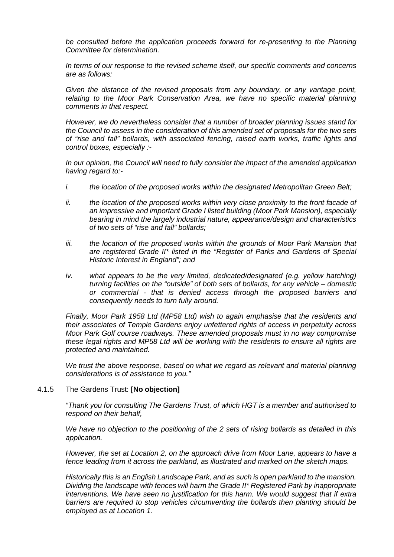*be consulted before the application proceeds forward for re-presenting to the Planning Committee for determination.* 

*In terms of our response to the revised scheme itself, our specific comments and concerns are as follows:*

*Given the distance of the revised proposals from any boundary, or any vantage point, relating to the Moor Park Conservation Area, we have no specific material planning comments in that respect.*

*However, we do nevertheless consider that a number of broader planning issues stand for the Council to assess in the consideration of this amended set of proposals for the two sets of "rise and fall" bollards, with associated fencing, raised earth works, traffic lights and control boxes, especially :-*

*In our opinion, the Council will need to fully consider the impact of the amended application having regard to:-*

- *i. the location of the proposed works within the designated Metropolitan Green Belt;*
- *ii. the location of the proposed works within very close proximity to the front facade of an impressive and important Grade I listed building (Moor Park Mansion), especially bearing in mind the largely industrial nature, appearance/design and characteristics of two sets of "rise and fall" bollards;*
- *iii. the location of the proposed works within the grounds of Moor Park Mansion that are registered Grade II\* listed in the "Register of Parks and Gardens of Special Historic Interest in England"; and*
- *iv. what appears to be the very limited, dedicated/designated (e.g. yellow hatching) turning facilities on the "outside" of both sets of bollards, for any vehicle – domestic or commercial - that is denied access through the proposed barriers and consequently needs to turn fully around.*

*Finally, Moor Park 1958 Ltd (MP58 Ltd) wish to again emphasise that the residents and their associates of Temple Gardens enjoy unfettered rights of access in perpetuity across Moor Park Golf course roadways. These amended proposals must in no way compromise these legal rights and MP58 Ltd will be working with the residents to ensure all rights are protected and maintained.*

*We trust the above response, based on what we regard as relevant and material planning considerations is of assistance to you."*

#### 4.1.5 The Gardens Trust: **[No objection]**

*"Thank you for consulting The Gardens Trust, of which HGT is a member and authorised to respond on their behalf,*

*We have no objection to the positioning of the 2 sets of rising bollards as detailed in this application.*

*However, the set at Location 2, on the approach drive from Moor Lane, appears to have a fence leading from it across the parkland, as illustrated and marked on the sketch maps.*

*Historically this is an English Landscape Park, and as such is open parkland to the mansion. Dividing the landscape with fences will harm the Grade II\* Registered Park by inappropriate interventions. We have seen no justification for this harm. We would suggest that if extra barriers are required to stop vehicles circumventing the bollards then planting should be employed as at Location 1.*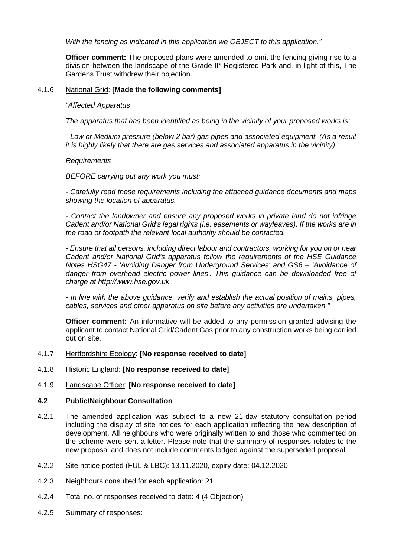*With the fencing as indicated in this application we OBJECT to this application."*

**Officer comment:** The proposed plans were amended to omit the fencing giving rise to a division between the landscape of the Grade II\* Registered Park and, in light of this, The Gardens Trust withdrew their objection.

#### 4.1.6 National Grid: **[Made the following comments]**

#### *"Affected Apparatus*

*The apparatus that has been identified as being in the vicinity of your proposed works is:*

*- Low or Medium pressure (below 2 bar) gas pipes and associated equipment. (As a result it is highly likely that there are gas services and associated apparatus in the vicinity)*

#### *Requirements*

*BEFORE carrying out any work you must:*

*- Carefully read these requirements including the attached guidance documents and maps showing the location of apparatus.*

*- Contact the landowner and ensure any proposed works in private land do not infringe Cadent and/or National Grid's legal rights (i.e. easements or wayleaves). If the works are in the road or footpath the relevant local authority should be contacted.*

*- Ensure that all persons, including direct labour and contractors, working for you on or near Cadent and/or National Grid's apparatus follow the requirements of the HSE Guidance Notes HSG47 - 'Avoiding Danger from Underground Services' and GS6 – 'Avoidance of danger from overhead electric power lines'. This guidance can be downloaded free of charge at http://www.hse.gov.uk*

*- In line with the above guidance, verify and establish the actual position of mains, pipes, cables, services and other apparatus on site before any activities are undertaken."*

**Officer comment:** An informative will be added to any permission granted advising the applicant to contact National Grid/Cadent Gas prior to any construction works being carried out on site.

## 4.1.7 Hertfordshire Ecology: **[No response received to date]**

4.1.8 Historic England: **[No response received to date]**

## 4.1.9 Landscape Officer: **[No response received to date]**

## **4.2 Public/Neighbour Consultation**

- 4.2.1 The amended application was subject to a new 21-day statutory consultation period including the display of site notices for each application reflecting the new description of development. All neighbours who were originally written to and those who commented on the scheme were sent a letter. Please note that the summary of responses relates to the new proposal and does not include comments lodged against the superseded proposal.
- 4.2.2 Site notice posted (FUL & LBC): 13.11.2020, expiry date: 04.12.2020
- 4.2.3 Neighbours consulted for each application: 21
- 4.2.4 Total no. of responses received to date: 4 (4 Objection)
- 4.2.5 Summary of responses: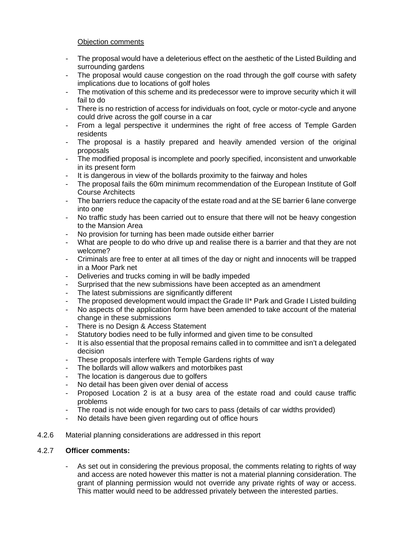## Objection comments

- The proposal would have a deleterious effect on the aesthetic of the Listed Building and surrounding gardens
- The proposal would cause congestion on the road through the golf course with safety implications due to locations of golf holes
- The motivation of this scheme and its predecessor were to improve security which it will fail to do
- There is no restriction of access for individuals on foot, cycle or motor-cycle and anyone could drive across the golf course in a car
- From a legal perspective it undermines the right of free access of Temple Garden residents
- The proposal is a hastily prepared and heavily amended version of the original proposals
- The modified proposal is incomplete and poorly specified, inconsistent and unworkable in its present form
- It is dangerous in view of the bollards proximity to the fairway and holes
- The proposal fails the 60m minimum recommendation of the European Institute of Golf Course Architects
- The barriers reduce the capacity of the estate road and at the SE barrier 6 lane converge into one
- No traffic study has been carried out to ensure that there will not be heavy congestion to the Mansion Area
- No provision for turning has been made outside either barrier
- What are people to do who drive up and realise there is a barrier and that they are not welcome?
- Criminals are free to enter at all times of the day or night and innocents will be trapped in a Moor Park net
- Deliveries and trucks coming in will be badly impeded
- Surprised that the new submissions have been accepted as an amendment
- The latest submissions are significantly different
- The proposed development would impact the Grade II\* Park and Grade I Listed building
- No aspects of the application form have been amended to take account of the material change in these submissions
- There is no Design & Access Statement
- Statutory bodies need to be fully informed and given time to be consulted
- It is also essential that the proposal remains called in to committee and isn't a delegated decision
- These proposals interfere with Temple Gardens rights of way
- The bollards will allow walkers and motorbikes past
- The location is dangerous due to golfers
- No detail has been given over denial of access
- Proposed Location 2 is at a busy area of the estate road and could cause traffic problems
- The road is not wide enough for two cars to pass (details of car widths provided)
- No details have been given regarding out of office hours
- 4.2.6 Material planning considerations are addressed in this report

## 4.2.7 **Officer comments:**

As set out in considering the previous proposal, the comments relating to rights of way and access are noted however this matter is not a material planning consideration. The grant of planning permission would not override any private rights of way or access. This matter would need to be addressed privately between the interested parties.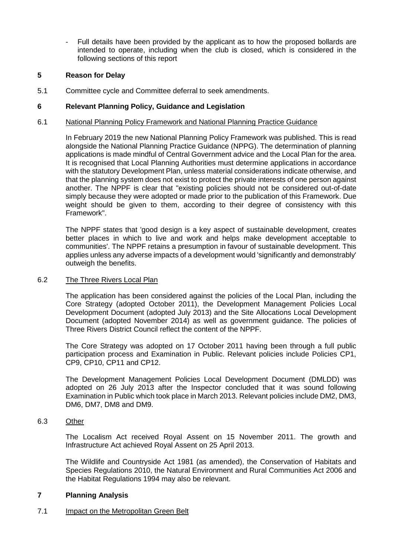- Full details have been provided by the applicant as to how the proposed bollards are intended to operate, including when the club is closed, which is considered in the following sections of this report

## **5 Reason for Delay**

5.1 Committee cycle and Committee deferral to seek amendments.

# **6 Relevant Planning Policy, Guidance and Legislation**

### 6.1 National Planning Policy Framework and National Planning Practice Guidance

In February 2019 the new National Planning Policy Framework was published. This is read alongside the National Planning Practice Guidance (NPPG). The determination of planning applications is made mindful of Central Government advice and the Local Plan for the area. It is recognised that Local Planning Authorities must determine applications in accordance with the statutory Development Plan, unless material considerations indicate otherwise, and that the planning system does not exist to protect the private interests of one person against another. The NPPF is clear that "existing policies should not be considered out-of-date simply because they were adopted or made prior to the publication of this Framework. Due weight should be given to them, according to their degree of consistency with this Framework".

The NPPF states that 'good design is a key aspect of sustainable development, creates better places in which to live and work and helps make development acceptable to communities'. The NPPF retains a presumption in favour of sustainable development. This applies unless any adverse impacts of a development would 'significantly and demonstrably' outweigh the benefits.

#### 6.2 The Three Rivers Local Plan

The application has been considered against the policies of the Local Plan, including the Core Strategy (adopted October 2011), the Development Management Policies Local Development Document (adopted July 2013) and the Site Allocations Local Development Document (adopted November 2014) as well as government guidance. The policies of Three Rivers District Council reflect the content of the NPPF.

The Core Strategy was adopted on 17 October 2011 having been through a full public participation process and Examination in Public. Relevant policies include Policies CP1, CP9, CP10, CP11 and CP12.

The Development Management Policies Local Development Document (DMLDD) was adopted on 26 July 2013 after the Inspector concluded that it was sound following Examination in Public which took place in March 2013. Relevant policies include DM2, DM3, DM6, DM7, DM8 and DM9.

## 6.3 Other

The Localism Act received Royal Assent on 15 November 2011. The growth and Infrastructure Act achieved Royal Assent on 25 April 2013.

The Wildlife and Countryside Act 1981 (as amended), the Conservation of Habitats and Species Regulations 2010, the Natural Environment and Rural Communities Act 2006 and the Habitat Regulations 1994 may also be relevant.

## **7 Planning Analysis**

## 7.1 Impact on the Metropolitan Green Belt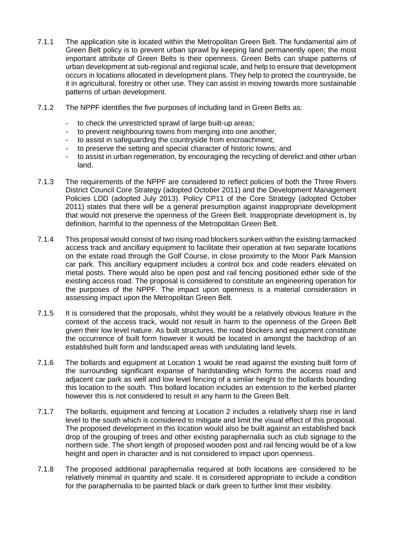- 7.1.1 The application site is located within the Metropolitan Green Belt. The fundamental aim of Green Belt policy is to prevent urban sprawl by keeping land permanently open; the most important attribute of Green Belts is their openness. Green Belts can shape patterns of urban development at sub-regional and regional scale, and help to ensure that development occurs in locations allocated in development plans. They help to protect the countryside, be it in agricultural, forestry or other use. They can assist in moving towards more sustainable patterns of urban development.
- 7.1.2 The NPPF identifies the five purposes of including land in Green Belts as:
	- to check the unrestricted sprawl of large built-up areas;
	- to prevent neighbouring towns from merging into one another;
	- to assist in safeguarding the countryside from encroachment;
	- to preserve the setting and special character of historic towns: and
	- to assist in urban regeneration, by encouraging the recycling of derelict and other urban land.
- 7.1.3 The requirements of the NPPF are considered to reflect policies of both the Three Rivers District Council Core Strategy (adopted October 2011) and the Development Management Policies LDD (adopted July 2013). Policy CP11 of the Core Strategy (adopted October 2011) states that there will be a general presumption against inappropriate development that would not preserve the openness of the Green Belt. Inappropriate development is, by definition, harmful to the openness of the Metropolitan Green Belt.
- 7.1.4 This proposal would consist of two rising road blockers sunken within the existing tarmacked access track and ancillary equipment to facilitate their operation at two separate locations on the estate road through the Golf Course, in close proximity to the Moor Park Mansion car park. This ancillary equipment includes a control box and code readers elevated on metal posts. There would also be open post and rail fencing positioned either side of the existing access road. The proposal is considered to constitute an engineering operation for the purposes of the NPPF. The impact upon openness is a material consideration in assessing impact upon the Metropolitan Green Belt.
- 7.1.5 It is considered that the proposals, whilst they would be a relatively obvious feature in the context of the access track, would not result in harm to the openness of the Green Belt given their low level nature. As built structures, the road blockers and equipment constitute the occurrence of built form however it would be located in amongst the backdrop of an established built form and landscaped areas with undulating land levels.
- 7.1.6 The bollards and equipment at Location 1 would be read against the existing built form of the surrounding significant expanse of hardstanding which forms the access road and adjacent car park as well and low level fencing of a similar height to the bollards bounding this location to the south. This bollard location includes an extension to the kerbed planter however this is not considered to result in any harm to the Green Belt.
- 7.1.7 The bollards, equipment and fencing at Location 2 includes a relatively sharp rise in land level to the south which is considered to mitigate and limit the visual effect of this proposal. The proposed development in this location would also be built against an established back drop of the grouping of trees and other existing paraphernalia such as club signage to the northern side. The short length of proposed wooden post and rail fencing would be of a low height and open in character and is not considered to impact upon openness.
- 7.1.8 The proposed additional paraphernalia required at both locations are considered to be relatively minimal in quantity and scale. It is considered appropriate to include a condition for the paraphernalia to be painted black or dark green to further limit their visibility.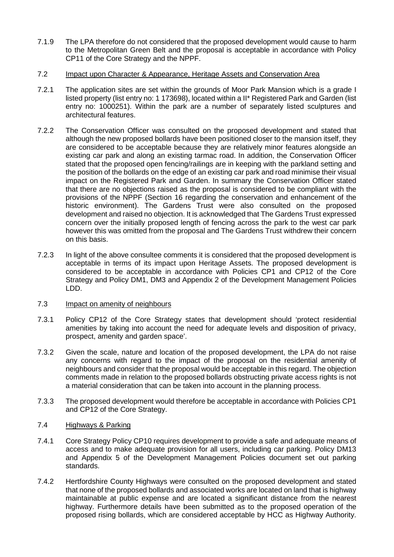7.1.9 The LPA therefore do not considered that the proposed development would cause to harm to the Metropolitan Green Belt and the proposal is acceptable in accordance with Policy CP11 of the Core Strategy and the NPPF.

### 7.2 Impact upon Character & Appearance, Heritage Assets and Conservation Area

- 7.2.1 The application sites are set within the grounds of Moor Park Mansion which is a grade I listed property (list entry no: 1 173698), located within a II\* Registered Park and Garden (list entry no: 1000251). Within the park are a number of separately listed sculptures and architectural features.
- 7.2.2 The Conservation Officer was consulted on the proposed development and stated that although the new proposed bollards have been positioned closer to the mansion itself, they are considered to be acceptable because they are relatively minor features alongside an existing car park and along an existing tarmac road. In addition, the Conservation Officer stated that the proposed open fencing/railings are in keeping with the parkland setting and the position of the bollards on the edge of an existing car park and road minimise their visual impact on the Registered Park and Garden. In summary the Conservation Officer stated that there are no objections raised as the proposal is considered to be compliant with the provisions of the NPPF (Section 16 regarding the conservation and enhancement of the historic environment). The Gardens Trust were also consulted on the proposed development and raised no objection. It is acknowledged that The Gardens Trust expressed concern over the initially proposed length of fencing across the park to the west car park however this was omitted from the proposal and The Gardens Trust withdrew their concern on this basis.
- 7.2.3 In light of the above consultee comments it is considered that the proposed development is acceptable in terms of its impact upon Heritage Assets. The proposed development is considered to be acceptable in accordance with Policies CP1 and CP12 of the Core Strategy and Policy DM1, DM3 and Appendix 2 of the Development Management Policies LDD.

#### 7.3 Impact on amenity of neighbours

- 7.3.1 Policy CP12 of the Core Strategy states that development should 'protect residential amenities by taking into account the need for adequate levels and disposition of privacy, prospect, amenity and garden space'.
- 7.3.2 Given the scale, nature and location of the proposed development, the LPA do not raise any concerns with regard to the impact of the proposal on the residential amenity of neighbours and consider that the proposal would be acceptable in this regard. The objection comments made in relation to the proposed bollards obstructing private access rights is not a material consideration that can be taken into account in the planning process.
- 7.3.3 The proposed development would therefore be acceptable in accordance with Policies CP1 and CP12 of the Core Strategy.

## 7.4 Highways & Parking

- 7.4.1 Core Strategy Policy CP10 requires development to provide a safe and adequate means of access and to make adequate provision for all users, including car parking. Policy DM13 and Appendix 5 of the Development Management Policies document set out parking standards.
- 7.4.2 Hertfordshire County Highways were consulted on the proposed development and stated that none of the proposed bollards and associated works are located on land that is highway maintainable at public expense and are located a significant distance from the nearest highway. Furthermore details have been submitted as to the proposed operation of the proposed rising bollards, which are considered acceptable by HCC as Highway Authority.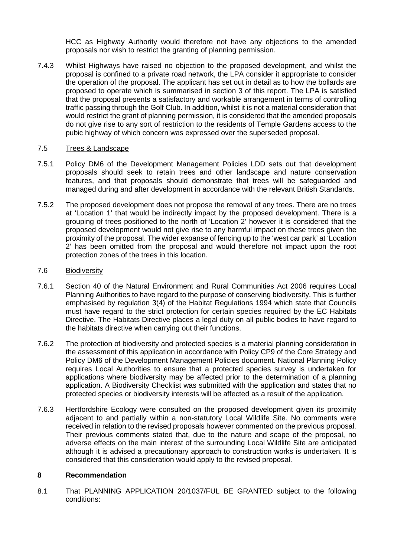HCC as Highway Authority would therefore not have any objections to the amended proposals nor wish to restrict the granting of planning permission*.*

7.4.3 Whilst Highways have raised no objection to the proposed development, and whilst the proposal is confined to a private road network, the LPA consider it appropriate to consider the operation of the proposal. The applicant has set out in detail as to how the bollards are proposed to operate which is summarised in section 3 of this report. The LPA is satisfied that the proposal presents a satisfactory and workable arrangement in terms of controlling traffic passing through the Golf Club. In addition, whilst it is not a material consideration that would restrict the grant of planning permission, it is considered that the amended proposals do not give rise to any sort of restriction to the residents of Temple Gardens access to the pubic highway of which concern was expressed over the superseded proposal.

## 7.5 Trees & Landscape

- 7.5.1 Policy DM6 of the Development Management Policies LDD sets out that development proposals should seek to retain trees and other landscape and nature conservation features, and that proposals should demonstrate that trees will be safeguarded and managed during and after development in accordance with the relevant British Standards.
- 7.5.2 The proposed development does not propose the removal of any trees. There are no trees at 'Location 1' that would be indirectly impact by the proposed development. There is a grouping of trees positioned to the north of 'Location 2' however it is considered that the proposed development would not give rise to any harmful impact on these trees given the proximity of the proposal. The wider expanse of fencing up to the 'west car park' at 'Location 2' has been omitted from the proposal and would therefore not impact upon the root protection zones of the trees in this location.

## 7.6 Biodiversity

- 7.6.1 Section 40 of the Natural Environment and Rural Communities Act 2006 requires Local Planning Authorities to have regard to the purpose of conserving biodiversity. This is further emphasised by regulation 3(4) of the Habitat Regulations 1994 which state that Councils must have regard to the strict protection for certain species required by the EC Habitats Directive. The Habitats Directive places a legal duty on all public bodies to have regard to the habitats directive when carrying out their functions.
- 7.6.2 The protection of biodiversity and protected species is a material planning consideration in the assessment of this application in accordance with Policy CP9 of the Core Strategy and Policy DM6 of the Development Management Policies document. National Planning Policy requires Local Authorities to ensure that a protected species survey is undertaken for applications where biodiversity may be affected prior to the determination of a planning application. A Biodiversity Checklist was submitted with the application and states that no protected species or biodiversity interests will be affected as a result of the application.
- 7.6.3 Hertfordshire Ecology were consulted on the proposed development given its proximity adjacent to and partially within a non-statutory Local Wildlife Site. No comments were received in relation to the revised proposals however commented on the previous proposal. Their previous comments stated that, due to the nature and scape of the proposal, no adverse effects on the main interest of the surrounding Local Wildlife Site are anticipated although it is advised a precautionary approach to construction works is undertaken. It is considered that this consideration would apply to the revised proposal.

### **8 Recommendation**

8.1 That PLANNING APPLICATION 20/1037/FUL BE GRANTED subject to the following conditions: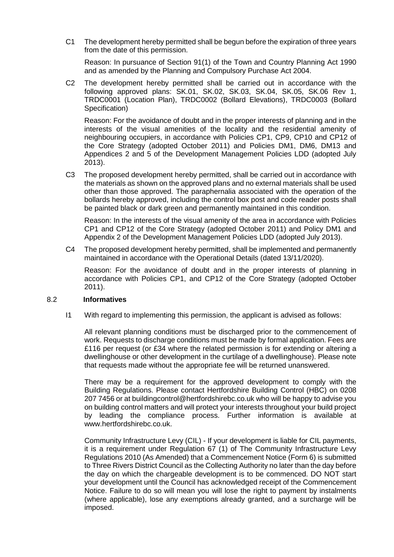C1 The development hereby permitted shall be begun before the expiration of three years from the date of this permission.

Reason: In pursuance of Section 91(1) of the Town and Country Planning Act 1990 and as amended by the Planning and Compulsory Purchase Act 2004.

C2 The development hereby permitted shall be carried out in accordance with the following approved plans: SK.01, SK.02, SK.03, SK.04, SK.05, SK.06 Rev 1, TRDC0001 (Location Plan), TRDC0002 (Bollard Elevations), TRDC0003 (Bollard Specification)

Reason: For the avoidance of doubt and in the proper interests of planning and in the interests of the visual amenities of the locality and the residential amenity of neighbouring occupiers, in accordance with Policies CP1, CP9, CP10 and CP12 of the Core Strategy (adopted October 2011) and Policies DM1, DM6, DM13 and Appendices 2 and 5 of the Development Management Policies LDD (adopted July 2013).

C3 The proposed development hereby permitted, shall be carried out in accordance with the materials as shown on the approved plans and no external materials shall be used other than those approved. The paraphernalia associated with the operation of the bollards hereby approved, including the control box post and code reader posts shall be painted black or dark green and permanently maintained in this condition.

Reason: In the interests of the visual amenity of the area in accordance with Policies CP1 and CP12 of the Core Strategy (adopted October 2011) and Policy DM1 and Appendix 2 of the Development Management Policies LDD (adopted July 2013).

C4 The proposed development hereby permitted, shall be implemented and permanently maintained in accordance with the Operational Details (dated 13/11/2020).

Reason: For the avoidance of doubt and in the proper interests of planning in accordance with Policies CP1, and CP12 of the Core Strategy (adopted October 2011).

#### 8.2 **Informatives**

I1 With regard to implementing this permission, the applicant is advised as follows:

All relevant planning conditions must be discharged prior to the commencement of work. Requests to discharge conditions must be made by formal application. Fees are £116 per request (or £34 where the related permission is for extending or altering a dwellinghouse or other development in the curtilage of a dwellinghouse). Please note that requests made without the appropriate fee will be returned unanswered.

There may be a requirement for the approved development to comply with the Building Regulations. Please contact Hertfordshire Building Control (HBC) on 0208 207 7456 or at buildingcontrol@hertfordshirebc.co.uk who will be happy to advise you on building control matters and will protect your interests throughout your build project by leading the compliance process. Further information is available at www.hertfordshirebc.co.uk.

Community Infrastructure Levy (CIL) - If your development is liable for CIL payments, it is a requirement under Regulation 67 (1) of The Community Infrastructure Levy Regulations 2010 (As Amended) that a Commencement Notice (Form 6) is submitted to Three Rivers District Council as the Collecting Authority no later than the day before the day on which the chargeable development is to be commenced. DO NOT start your development until the Council has acknowledged receipt of the Commencement Notice. Failure to do so will mean you will lose the right to payment by instalments (where applicable), lose any exemptions already granted, and a surcharge will be imposed.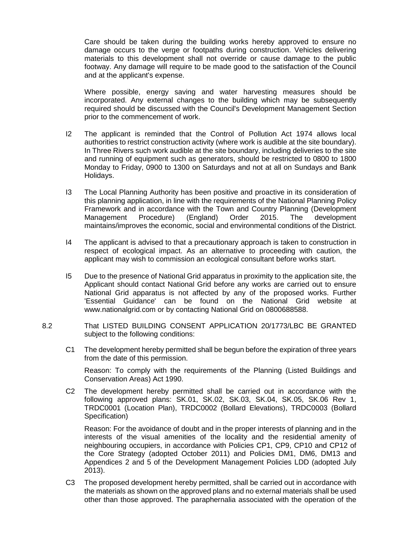Care should be taken during the building works hereby approved to ensure no damage occurs to the verge or footpaths during construction. Vehicles delivering materials to this development shall not override or cause damage to the public footway. Any damage will require to be made good to the satisfaction of the Council and at the applicant's expense.

Where possible, energy saving and water harvesting measures should be incorporated. Any external changes to the building which may be subsequently required should be discussed with the Council's Development Management Section prior to the commencement of work.

- I2 The applicant is reminded that the Control of Pollution Act 1974 allows local authorities to restrict construction activity (where work is audible at the site boundary). In Three Rivers such work audible at the site boundary, including deliveries to the site and running of equipment such as generators, should be restricted to 0800 to 1800 Monday to Friday, 0900 to 1300 on Saturdays and not at all on Sundays and Bank Holidays.
- I3 The Local Planning Authority has been positive and proactive in its consideration of this planning application, in line with the requirements of the National Planning Policy Framework and in accordance with the Town and Country Planning (Development Management Procedure) (England) Order 2015. The development maintains/improves the economic, social and environmental conditions of the District.
- I4 The applicant is advised to that a precautionary approach is taken to construction in respect of ecological impact. As an alternative to proceeding with caution, the applicant may wish to commission an ecological consultant before works start.
- I5 Due to the presence of National Grid apparatus in proximity to the application site, the Applicant should contact National Grid before any works are carried out to ensure National Grid apparatus is not affected by any of the proposed works. Further 'Essential Guidance' can be found on the National Grid website at www.nationalgrid.com or by contacting National Grid on 0800688588.
- 8.2 That LISTED BUILDING CONSENT APPLICATION 20/1773/LBC BE GRANTED subject to the following conditions:
	- C1 The development hereby permitted shall be begun before the expiration of three years from the date of this permission.

Reason: To comply with the requirements of the Planning (Listed Buildings and Conservation Areas) Act 1990.

C2 The development hereby permitted shall be carried out in accordance with the following approved plans: SK.01, SK.02, SK.03, SK.04, SK.05, SK.06 Rev 1, TRDC0001 (Location Plan), TRDC0002 (Bollard Elevations), TRDC0003 (Bollard Specification)

Reason: For the avoidance of doubt and in the proper interests of planning and in the interests of the visual amenities of the locality and the residential amenity of neighbouring occupiers, in accordance with Policies CP1, CP9, CP10 and CP12 of the Core Strategy (adopted October 2011) and Policies DM1, DM6, DM13 and Appendices 2 and 5 of the Development Management Policies LDD (adopted July 2013).

C3 The proposed development hereby permitted, shall be carried out in accordance with the materials as shown on the approved plans and no external materials shall be used other than those approved. The paraphernalia associated with the operation of the